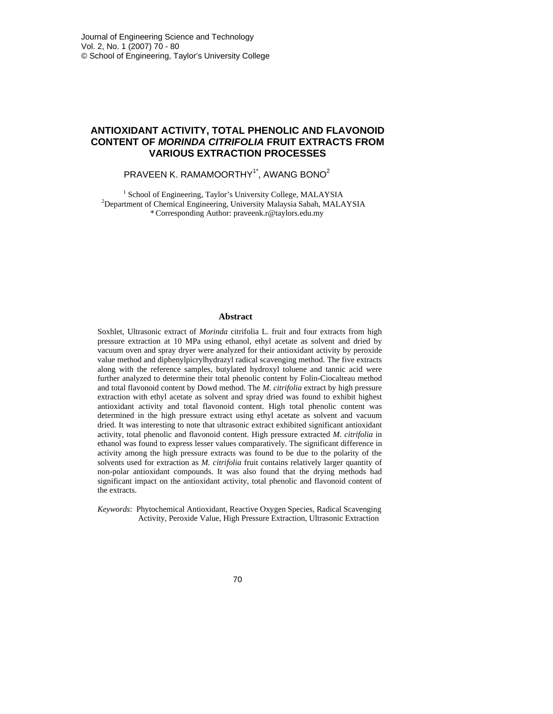# **ANTIOXIDANT ACTIVITY, TOTAL PHENOLIC AND FLAVONOID CONTENT OF** *MORINDA CITRIFOLIA* **FRUIT EXTRACTS FROM VARIOUS EXTRACTION PROCESSES**

PRAVEEN K. RAMAMOORTHY<sup>1\*</sup>, AWANG BONO<sup>2</sup>

<sup>1</sup> School of Engineering, Taylor's University College, MALAYSIA<br><sup>2</sup>Department of Chemical Engineering, University Malaysia Sabah, MALAYSIA<br>\*Corresponding Author: praveenk.r@taylors.edu.my

### **Abstract**

Soxhlet, Ultrasonic extract of *Morinda* citrifolia L. fruit and four extracts from high pressure extraction at 10 MPa using ethanol, ethyl acetate as solvent and dried by vacuum oven and spray dryer were analyzed for their antioxidant activity by peroxide value method and diphenylpicrylhydrazyl radical scavenging method. The five extracts along with the reference samples, butylated hydroxyl toluene and tannic acid were further analyzed to determine their total phenolic content by Folin-Ciocalteau method and total flavonoid content by Dowd method. The *M. citrifolia* extract by high pressure extraction with ethyl acetate as solvent and spray dried was found to exhibit highest antioxidant activity and total flavonoid content. High total phenolic content was determined in the high pressure extract using ethyl acetate as solvent and vacuum dried. It was interesting to note that ultrasonic extract exhibited significant antioxidant activity, total phenolic and flavonoid content. High pressure extracted *M. citrifolia* in ethanol was found to express lesser values comparatively. The significant difference in activity among the high pressure extracts was found to be due to the polarity of the solvents used for extraction as *M. citrifolia* fruit contains relatively larger quantity of non-polar antioxidant compounds. It was also found that the drying methods had significant impact on the antioxidant activity, total phenolic and flavonoid content of the extracts.

*Keywords*: Phytochemical Antioxidant, Reactive Oxygen Species, Radical Scavenging Activity, Peroxide Value, High Pressure Extraction, Ultrasonic Extraction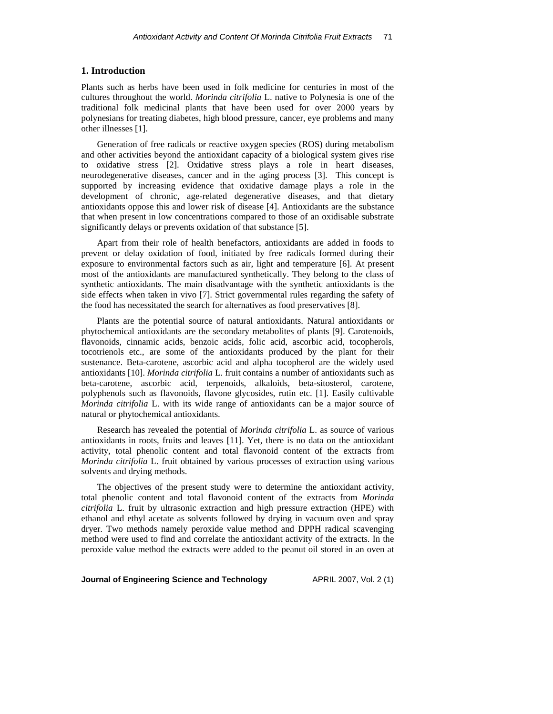#### **1. Introduction**

Plants such as herbs have been used in folk medicine for centuries in most of the cultures throughout the world. *Morinda citrifolia* L. native to Polynesia is one of the traditional folk medicinal plants that have been used for over 2000 years by polynesians for treating diabetes, high blood pressure, cancer, eye problems and many other illnesses [1].

 Generation of free radicals or reactive oxygen species (ROS) during metabolism and other activities beyond the antioxidant capacity of a biological system gives rise to oxidative stress [2]. Oxidative stress plays a role in heart diseases, neurodegenerative diseases, cancer and in the aging process [3]. This concept is supported by increasing evidence that oxidative damage plays a role in the development of chronic, age-related degenerative diseases, and that dietary antioxidants oppose this and lower risk of disease [4]. Antioxidants are the substance that when present in low concentrations compared to those of an oxidisable substrate significantly delays or prevents oxidation of that substance [5].

 Apart from their role of health benefactors, antioxidants are added in foods to prevent or delay oxidation of food, initiated by free radicals formed during their exposure to environmental factors such as air, light and temperature [6]. At present most of the antioxidants are manufactured synthetically. They belong to the class of synthetic antioxidants. The main disadvantage with the synthetic antioxidants is the side effects when taken in vivo [7]. Strict governmental rules regarding the safety of the food has necessitated the search for alternatives as food preservatives [8].

 Plants are the potential source of natural antioxidants. Natural antioxidants or phytochemical antioxidants are the secondary metabolites of plants [9]. Carotenoids, flavonoids, cinnamic acids, benzoic acids, folic acid, ascorbic acid, tocopherols, tocotrienols etc., are some of the antioxidants produced by the plant for their sustenance. Beta-carotene, ascorbic acid and alpha tocopherol are the widely used antioxidants [10]. *Morinda citrifolia* L. fruit contains a number of antioxidants such as beta-carotene, ascorbic acid, terpenoids, alkaloids, beta-sitosterol, carotene, polyphenols such as flavonoids, flavone glycosides, rutin etc. [1]. Easily cultivable *Morinda citrifolia* L. with its wide range of antioxidants can be a major source of natural or phytochemical antioxidants.

 Research has revealed the potential of *Morinda citrifolia* L. as source of various antioxidants in roots, fruits and leaves [11]. Yet, there is no data on the antioxidant activity, total phenolic content and total flavonoid content of the extracts from *Morinda citrifolia* L. fruit obtained by various processes of extraction using various solvents and drying methods.

 The objectives of the present study were to determine the antioxidant activity, total phenolic content and total flavonoid content of the extracts from *Morinda citrifolia* L. fruit by ultrasonic extraction and high pressure extraction (HPE) with ethanol and ethyl acetate as solvents followed by drying in vacuum oven and spray dryer. Two methods namely peroxide value method and DPPH radical scavenging method were used to find and correlate the antioxidant activity of the extracts. In the peroxide value method the extracts were added to the peanut oil stored in an oven at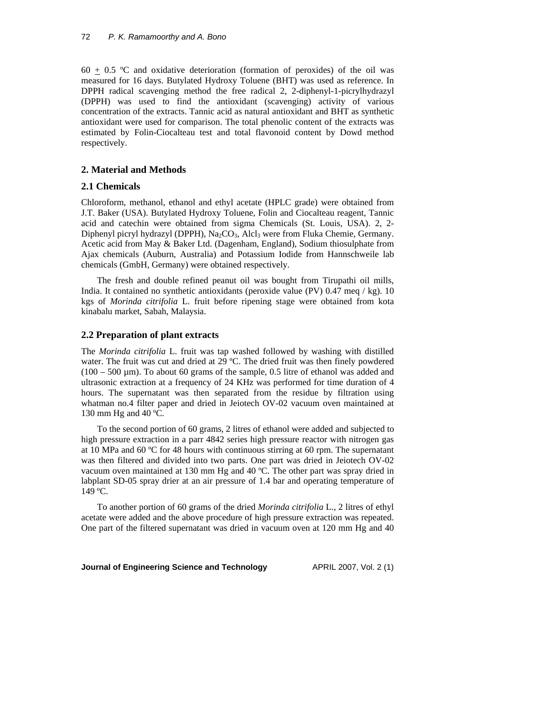60  $\pm$  0.5 °C and oxidative deterioration (formation of peroxides) of the oil was measured for 16 days. Butylated Hydroxy Toluene (BHT) was used as reference. In DPPH radical scavenging method the free radical 2, 2-diphenyl-1-picrylhydrazyl (DPPH) was used to find the antioxidant (scavenging) activity of various concentration of the extracts. Tannic acid as natural antioxidant and BHT as synthetic antioxidant were used for comparison. The total phenolic content of the extracts was estimated by Folin-Ciocalteau test and total flavonoid content by Dowd method respectively.

## **2. Material and Methods**

## **2.1 Chemicals**

Chloroform, methanol, ethanol and ethyl acetate (HPLC grade) were obtained from J.T. Baker (USA). Butylated Hydroxy Toluene, Folin and Ciocalteau reagent, Tannic acid and catechin were obtained from sigma Chemicals (St. Louis, USA). 2, 2- Diphenyl picryl hydrazyl (DPPH), Na<sub>2</sub>CO<sub>3</sub>, Alcl<sub>3</sub> were from Fluka Chemie, Germany. Acetic acid from May & Baker Ltd. (Dagenham, England), Sodium thiosulphate from Ajax chemicals (Auburn, Australia) and Potassium Iodide from Hannschweile lab chemicals (GmbH, Germany) were obtained respectively.

 The fresh and double refined peanut oil was bought from Tirupathi oil mills, India. It contained no synthetic antioxidants (peroxide value (PV) 0.47 meq / kg). 10 kgs of *Morinda citrifolia* L. fruit before ripening stage were obtained from kota kinabalu market, Sabah, Malaysia.

## **2.2 Preparation of plant extracts**

The *Morinda citrifolia* L. fruit was tap washed followed by washing with distilled water. The fruit was cut and dried at 29 °C. The dried fruit was then finely powdered  $(100 - 500 \,\mu\text{m})$ . To about 60 grams of the sample, 0.5 litre of ethanol was added and ultrasonic extraction at a frequency of 24 KHz was performed for time duration of 4 hours. The supernatant was then separated from the residue by filtration using whatman no.4 filter paper and dried in Jeiotech OV-02 vacuum oven maintained at 130 mm Hg and 40 ºC.

 To the second portion of 60 grams, 2 litres of ethanol were added and subjected to high pressure extraction in a parr 4842 series high pressure reactor with nitrogen gas at 10 MPa and 60 ºC for 48 hours with continuous stirring at 60 rpm. The supernatant was then filtered and divided into two parts. One part was dried in Jeiotech OV-02 vacuum oven maintained at 130 mm Hg and 40 ºC. The other part was spray dried in labplant SD-05 spray drier at an air pressure of 1.4 bar and operating temperature of 149 ºC.

 To another portion of 60 grams of the dried *Morinda citrifolia* L., 2 litres of ethyl acetate were added and the above procedure of high pressure extraction was repeated. One part of the filtered supernatant was dried in vacuum oven at 120 mm Hg and 40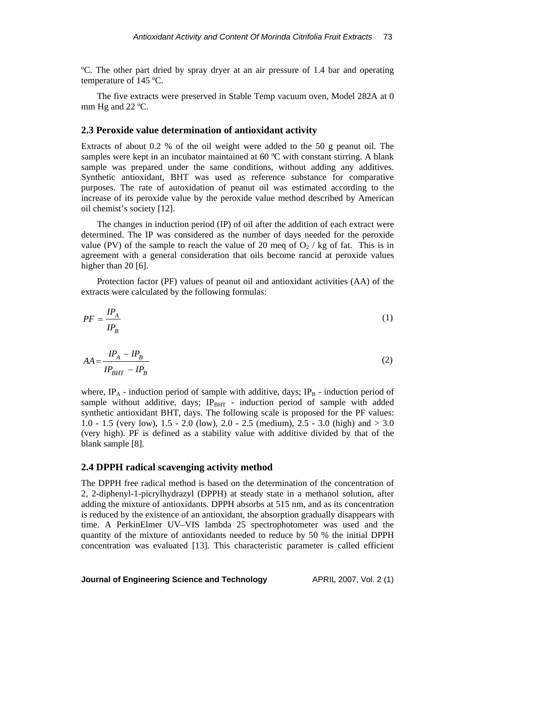ºC. The other part dried by spray dryer at an air pressure of 1.4 bar and operating temperature of 145 ºC.

 The five extracts were preserved in Stable Temp vacuum oven, Model 282A at 0 mm Hg and 22 ºC.

### **2.3 Peroxide value determination of antioxidant activity**

Extracts of about 0.2 % of the oil weight were added to the 50 g peanut oil. The samples were kept in an incubator maintained at 60 °C with constant stirring. A blank sample was prepared under the same conditions, without adding any additives. Synthetic antioxidant, BHT was used as reference substance for comparative purposes. The rate of autoxidation of peanut oil was estimated according to the increase of its peroxide value by the peroxide value method described by American oil chemist's society [12].

 The changes in induction period (IP) of oil after the addition of each extract were determined. The IP was considered as the number of days needed for the peroxide value (PV) of the sample to reach the value of 20 meq of  $O<sub>2</sub>$  / kg of fat. This is in agreement with a general consideration that oils become rancid at peroxide values higher than 20 [6].

 Protection factor (PF) values of peanut oil and antioxidant activities (AA) of the extracts were calculated by the following formulas:

$$
PF = \frac{IP_A}{IP_B} \tag{1}
$$

$$
AA = \frac{IP_A - IP_B}{IP_{BHT} - IP_B}
$$
\n<sup>(2)</sup>

where, IP<sub>A</sub> - induction period of sample with additive, days; IP<sub>B</sub> - induction period of sample without additive, days; IP<sub>BHT</sub> - induction period of sample with added synthetic antioxidant BHT, days. The following scale is proposed for the PF values: 1.0 - 1.5 (very low), 1.5 - 2.0 (low), 2.0 - 2.5 (medium), 2.5 - 3.0 (high) and > 3.0 (very high). PF is defined as a stability value with additive divided by that of the blank sample [8].

#### **2.4 DPPH radical scavenging activity method**

The DPPH free radical method is based on the determination of the concentration of 2, 2-diphenyl-1-picrylhydrazyl (DPPH) at steady state in a methanol solution, after adding the mixture of antioxidants. DPPH absorbs at 515 nm, and as its concentration is reduced by the existence of an antioxidant, the absorption gradually disappears with time. A PerkinElmer UV–VIS lambda 25 spectrophotometer was used and the quantity of the mixture of antioxidants needed to reduce by 50 % the initial DPPH concentration was evaluated [13]. This characteristic parameter is called efficient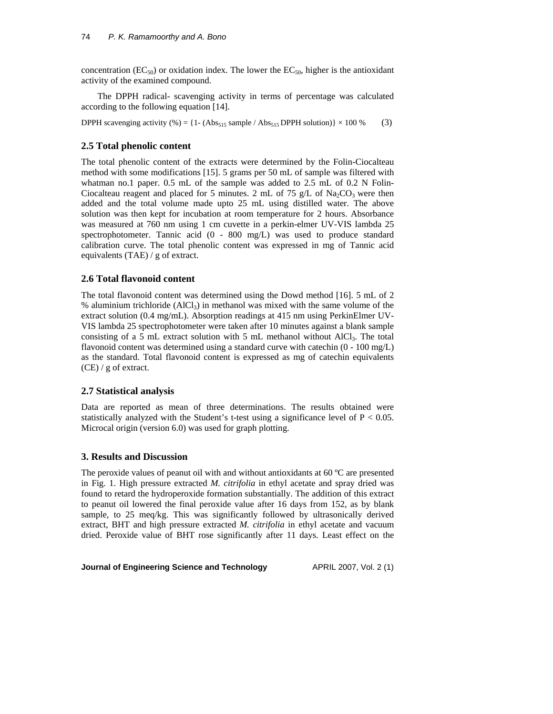concentration ( $EC_{50}$ ) or oxidation index. The lower the  $EC_{50}$ , higher is the antioxidant activity of the examined compound.

The DPPH radical- scavenging activity in terms of percentage was calculated according to the following equation [14].

DPPH scavenging activity  $% = \{1 - (Abs_{515} \text{ sample} / Abs_{515} \text{ DPPH solution})\} \times 100\%$  (3)

## **2.5 Total phenolic content**

The total phenolic content of the extracts were determined by the Folin-Ciocalteau method with some modifications [15]. 5 grams per 50 mL of sample was filtered with whatman no.1 paper. 0.5 mL of the sample was added to 2.5 mL of 0.2 N Folin-Ciocalteau reagent and placed for 5 minutes. 2 mL of 75 g/L of  $Na_2CO_3$  were then added and the total volume made upto 25 mL using distilled water. The above solution was then kept for incubation at room temperature for 2 hours. Absorbance was measured at 760 nm using 1 cm cuvette in a perkin-elmer UV-VIS lambda 25 spectrophotometer. Tannic acid  $(0 - 800 \text{ mg/L})$  was used to produce standard calibration curve. The total phenolic content was expressed in mg of Tannic acid equivalents (TAE) / g of extract.

### **2.6 Total flavonoid content**

The total flavonoid content was determined using the Dowd method [16]. 5 mL of 2 % aluminium trichloride  $(AlCl<sub>3</sub>)$  in methanol was mixed with the same volume of the extract solution (0.4 mg/mL). Absorption readings at 415 nm using PerkinElmer UV-VIS lambda 25 spectrophotometer were taken after 10 minutes against a blank sample consisting of a 5 mL extract solution with 5 mL methanol without  $AICI_3$ . The total flavonoid content was determined using a standard curve with catechin  $(0 - 100 \text{ mg/L})$ as the standard. Total flavonoid content is expressed as mg of catechin equivalents (CE) / g of extract.

### **2.7 Statistical analysis**

Data are reported as mean of three determinations. The results obtained were statistically analyzed with the Student's t-test using a significance level of  $P < 0.05$ . Microcal origin (version 6.0) was used for graph plotting.

### **3. Results and Discussion**

The peroxide values of peanut oil with and without antioxidants at 60  $^{\circ}$ C are presented in Fig. 1. High pressure extracted *M. citrifolia* in ethyl acetate and spray dried was found to retard the hydroperoxide formation substantially. The addition of this extract to peanut oil lowered the final peroxide value after 16 days from 152, as by blank sample, to 25 meq/kg. This was significantly followed by ultrasonically derived extract, BHT and high pressure extracted *M. citrifolia* in ethyl acetate and vacuum dried. Peroxide value of BHT rose significantly after 11 days. Least effect on the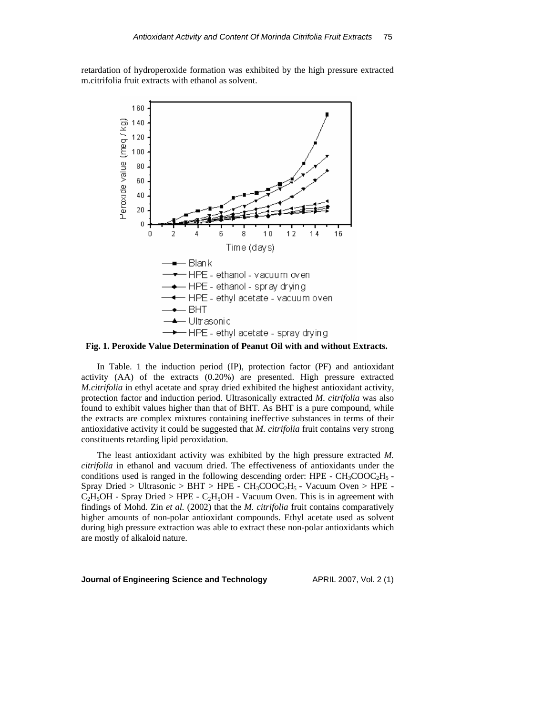retardation of hydroperoxide formation was exhibited by the high pressure extracted m.citrifolia fruit extracts with ethanol as solvent.



 In Table. 1 the induction period (IP), protection factor (PF) and antioxidant activity (AA) of the extracts (0.20%) are presented. High pressure extracted *M.citrifolia* in ethyl acetate and spray dried exhibited the highest antioxidant activity, protection factor and induction period. Ultrasonically extracted *M. citrifolia* was also found to exhibit values higher than that of BHT. As BHT is a pure compound, while the extracts are complex mixtures containing ineffective substances in terms of their antioxidative activity it could be suggested that *M. citrifolia* fruit contains very strong constituents retarding lipid peroxidation.

 The least antioxidant activity was exhibited by the high pressure extracted *M. citrifolia* in ethanol and vacuum dried. The effectiveness of antioxidants under the conditions used is ranged in the following descending order: HPE -  $CH_3COOC_2H_5$  -Spray Dried > Ultrasonic > BHT > HPE -  $CH_3COOC_2H_5$  - Vacuum Oven > HPE - $C_2H_5OH$  - Spray Dried > HPE -  $C_2H_5OH$  - Vacuum Oven. This is in agreement with findings of Mohd. Zin *et al.* (2002) that the *M. citrifolia* fruit contains comparatively higher amounts of non-polar antioxidant compounds. Ethyl acetate used as solvent during high pressure extraction was able to extract these non-polar antioxidants which are mostly of alkaloid nature.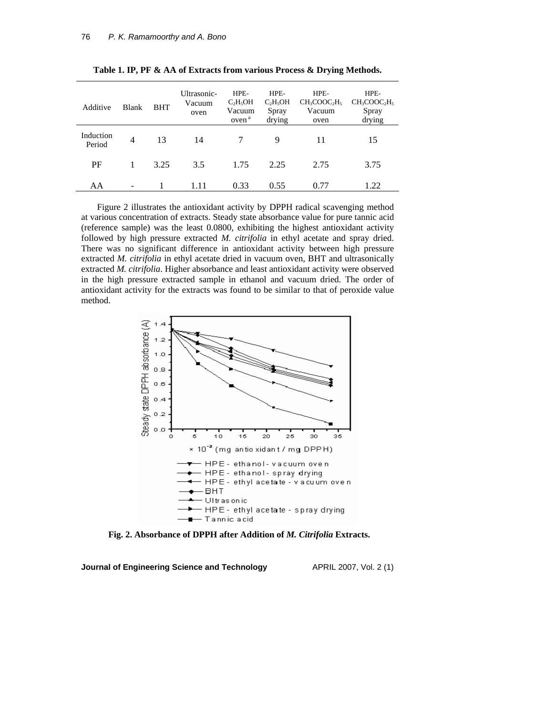| Additive            | <b>Blank</b> | <b>BHT</b> | Ultrasonic-<br>Vacuum<br>oven | HPE-<br>$C_2H_5OH$<br>Vacuum<br>oven <sup>a</sup> | HPE-<br>$C_2H_5OH$<br>Spray<br>drying | HPE-<br>$CH3COOC2H5$<br>Vacuum<br>oven | HPE-<br>$CH3COOC2H5$<br>Spray<br>drying |
|---------------------|--------------|------------|-------------------------------|---------------------------------------------------|---------------------------------------|----------------------------------------|-----------------------------------------|
| Induction<br>Period | 4            | 13         | 14                            |                                                   | 9                                     | 11                                     | 15                                      |
| PF                  |              | 3.25       | 3.5                           | 1.75                                              | 2.25                                  | 2.75                                   | 3.75                                    |
| AA                  | -            |            | 111                           | 0.33                                              | 0.55                                  | 0.77                                   | 1.22                                    |

**Table 1. IP, PF & AA of Extracts from various Process & Drying Methods.** 

 Figure 2 illustrates the antioxidant activity by DPPH radical scavenging method at various concentration of extracts. Steady state absorbance value for pure tannic acid (reference sample) was the least 0.0800, exhibiting the highest antioxidant activity followed by high pressure extracted *M. citrifolia* in ethyl acetate and spray dried. There was no significant difference in antioxidant activity between high pressure extracted *M. citrifolia* in ethyl acetate dried in vacuum oven, BHT and ultrasonically extracted *M. citrifolia*. Higher absorbance and least antioxidant activity were observed in the high pressure extracted sample in ethanol and vacuum dried. The order of antioxidant activity for the extracts was found to be similar to that of peroxide value method.



 **Fig. 2. Absorbance of DPPH after Addition of** *M. Citrifolia* **Extracts.**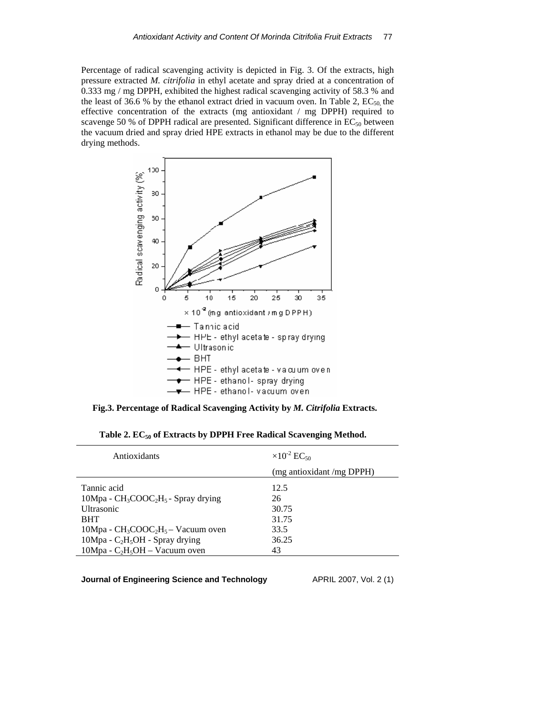Percentage of radical scavenging activity is depicted in Fig. 3. Of the extracts, high pressure extracted *M. citrifolia* in ethyl acetate and spray dried at a concentration of 0.333 mg / mg DPPH, exhibited the highest radical scavenging activity of 58.3 % and the least of 36.6 % by the ethanol extract dried in vacuum oven. In Table 2,  $EC_{50}$  the effective concentration of the extracts (mg antioxidant / mg DPPH) required to scavenge 50 % of DPPH radical are presented. Significant difference in  $EC_{50}$  between the vacuum dried and spray dried HPE extracts in ethanol may be due to the different drying methods.



 **Fig.3. Percentage of Radical Scavenging Activity by** *M. Citrifolia* **Extracts.**

|  |  |  | Table 2. $EC_{50}$ of Extracts by DPPH Free Radical Scavenging Method. |
|--|--|--|------------------------------------------------------------------------|
|--|--|--|------------------------------------------------------------------------|

| Antioxidants                                            | $\times 10^{-2}$ EC <sub>50</sub> |  |  |
|---------------------------------------------------------|-----------------------------------|--|--|
|                                                         | (mg antioxidant /mg DPPH)         |  |  |
| Tannic acid                                             | 12.5                              |  |  |
| $10Mpa - CH_3COOC_2H_5$ - Spray drying                  | 26                                |  |  |
| <b>Ultrasonic</b>                                       | 30.75                             |  |  |
| <b>BHT</b>                                              | 31.75                             |  |  |
| $10Mpa - CH_3COOC_2H_5 - Vacuum over$                   | 33.5                              |  |  |
| 10Mpa - C <sub>2</sub> H <sub>5</sub> OH - Spray drying | 36.25                             |  |  |
| $10Mpa - C2H5OH - Vacuum oven$                          | 43                                |  |  |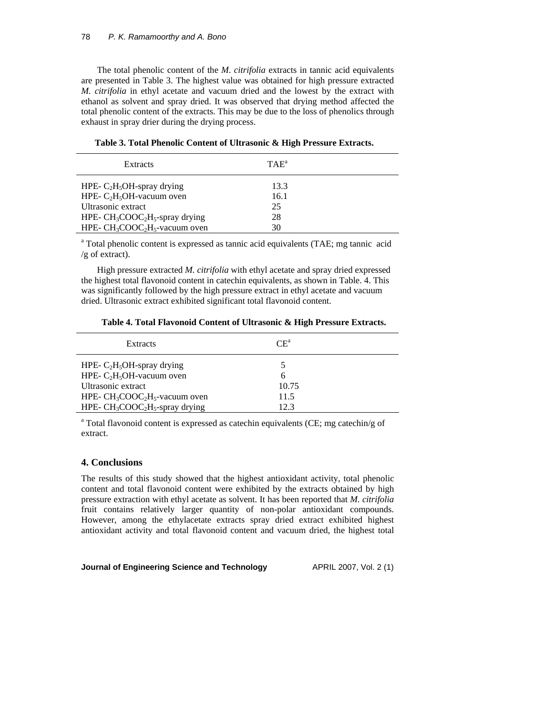The total phenolic content of the *M. citrifolia* extracts in tannic acid equivalents are presented in Table 3. The highest value was obtained for high pressure extracted *M. citrifolia* in ethyl acetate and vacuum dried and the lowest by the extract with ethanol as solvent and spray dried. It was observed that drying method affected the total phenolic content of the extracts. This may be due to the loss of phenolics through exhaust in spray drier during the drying process.

| Extracts                                                            | $TAE^a$ |  |
|---------------------------------------------------------------------|---------|--|
| HPE- $C_2H_5OH$ -spray drying                                       | 13.3    |  |
| HPE- $C_2H_5OH$ -vacuum oven                                        | 16.1    |  |
| Ultrasonic extract                                                  | 25      |  |
| HPE- CH <sub>3</sub> COOC <sub>2</sub> H <sub>5</sub> -spray drying | 28      |  |
| HPE- $CH_3COOC_2H_5$ -vacuum oven                                   | 30      |  |

|  |  | Table 3. Total Phenolic Content of Ultrasonic & High Pressure Extracts. |
|--|--|-------------------------------------------------------------------------|
|--|--|-------------------------------------------------------------------------|

<sup>a</sup> Total phenolic content is expressed as tannic acid equivalents (TAE; mg tannic acid /g of extract).

 High pressure extracted *M. citrifolia* with ethyl acetate and spray dried expressed the highest total flavonoid content in catechin equivalents, as shown in Table. 4. This was significantly followed by the high pressure extract in ethyl acetate and vacuum dried. Ultrasonic extract exhibited significant total flavonoid content.

|  |  | Table 4. Total Flavonoid Content of Ultrasonic & High Pressure Extracts. |
|--|--|--------------------------------------------------------------------------|
|--|--|--------------------------------------------------------------------------|

| Extracts                           | $CE^a$ |
|------------------------------------|--------|
| HPE- $C_2H_5OH$ -spray drying      |        |
| HPE- $C_2H_5OH$ -vacuum oven       | h      |
| Ultrasonic extract                 | 10.75  |
| HPE- $CH_3COOC_2H_5$ -vacuum oven  | 11.5   |
| HPE- $CH_3COOC_2H_5$ -spray drying | 12.3   |

<sup>a</sup> Total flavonoid content is expressed as catechin equivalents (CE; mg catechin/g of extract.

# **4. Conclusions**

The results of this study showed that the highest antioxidant activity, total phenolic content and total flavonoid content were exhibited by the extracts obtained by high pressure extraction with ethyl acetate as solvent. It has been reported that *M. citrifolia* fruit contains relatively larger quantity of non-polar antioxidant compounds. However, among the ethylacetate extracts spray dried extract exhibited highest antioxidant activity and total flavonoid content and vacuum dried, the highest total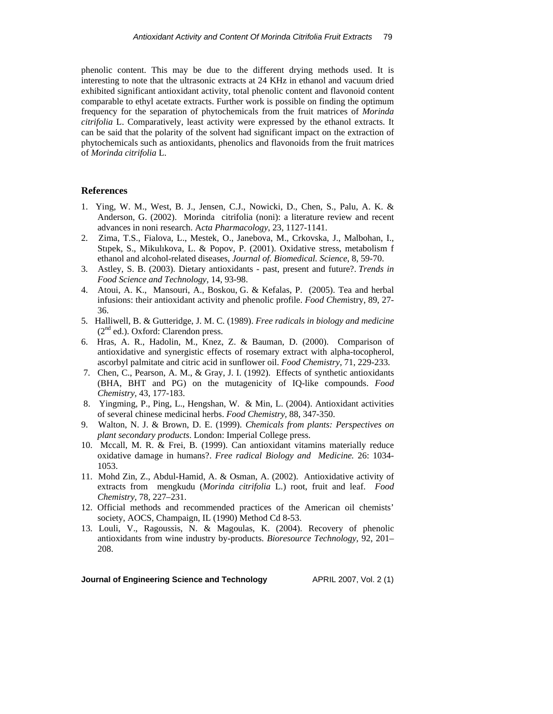phenolic content. This may be due to the different drying methods used. It is interesting to note that the ultrasonic extracts at 24 KHz in ethanol and vacuum dried exhibited significant antioxidant activity, total phenolic content and flavonoid content comparable to ethyl acetate extracts. Further work is possible on finding the optimum frequency for the separation of phytochemicals from the fruit matrices of *Morinda citrifolia* L. Comparatively, least activity were expressed by the ethanol extracts. It can be said that the polarity of the solvent had significant impact on the extraction of phytochemicals such as antioxidants, phenolics and flavonoids from the fruit matrices of *Morinda citrifolia* L.

#### **References**

- 1. Ying, W. M., West, B. J., Jensen, C.J., Nowicki, D., Chen, S., Palu, A. K. & Anderson, G. (2002). Morinda citrifolia (noni): a literature review and recent advances in noni research. A*cta Pharmacology*, 23, 1127-1141.
- 2*.* Zima, T.S., Fialova, L., Mestek, O., Janebova, M., Crkovska, J., Malbohan, I., Stıpek, S., Mikulıkova, L. & Popov, P. (2001). Oxidative stress, metabolism f ethanol and alcohol-related diseases, *Journal of. Biomedical. Science*, 8, 59-70.
- 3*.* Astley, S. B. (2003). Dietary antioxidants past, present and future?. *Trends in Food Science and Technology,* 14, 93-98.
- 4. Atoui, A. K., Mansouri, A., Boskou, G. & Kefalas, P. (2005). Tea and herbal infusions: their antioxidant activity and phenolic profile. *Food Chem*istry, 89, 27- 36.
- 5*.* [Halliwell](http://www.worldcatlibraries.org/wcpa/servlet/OUFrame;jsessionid=CD4E58A333D173040CB574F512D2A25D.three?url=http%3A%2F%2Fscholar.google.com%2Fscholar%3Fhl%3Den%26lr%3D%26q%3D%252522Barry%2BHalliwell%252522%2Bsite%253Aworldcatlibraries.org&title=author+search+&linktype=author&detail=goog_scholar%3ABarry+Halliwell%3Anoframes), B. & [Gutteridge,](http://www.worldcatlibraries.org/wcpa/servlet/OUFrame;jsessionid=CD4E58A333D173040CB574F512D2A25D.three?url=http%3A%2F%2Fscholar.google.com%2Fscholar%3Fhl%3Den%26lr%3D%26q%3D%252522John%2BM%2B%2BC%2BGutteridge%252522%2Bsite%253Aworldcatlibraries.org&title=author+search+&linktype=author&detail=goog_scholar%3AJohn+M++C+Gutteridge%3Anoframes) J. M. C. (1989). *Free radicals in biology and medicine*  $(2<sup>nd</sup>$  ed.). Oxford: Clarendon press.
- 6. Hras, A. R., Hadolin, M., Knez, Z. & Bauman, D. (2000). Comparison of antioxidative and synergistic effects of rosemary extract with alpha-tocopherol, ascorbyl palmitate and citric acid in sunflower oil. *Food Chemistry,* 71, 229-233.
- 7*.* Chen, C., Pearson, A. M., & Gray, J. I. (1992). Effects of synthetic antioxidants (BHA, BHT and PG) on the mutagenicity of IQ-like compounds. *Food Chemistry,* 43, 177-183.
- 8. Yingming, P., Ping, L., Hengshan, W. & Min, L. (2004). Antioxidant activities of several chinese medicinal herbs. *Food Chemistry,* 88, 347-350.
- 9. Walton, N. J. & Brown, D. E. (1999). *Chemicals from plants: Perspectives on plant secondary products*. London: Imperial College press.
- 10. Mccall, M. R. & Frei, B. (1999). Can antioxidant vitamins materially reduce oxidative damage in humans?. *Free radical Biology and Medicine.* 26: 1034- 1053.
- 11. Mohd Zin, Z., Abdul-Hamid, A. & Osman, A. (2002). Antioxidative activity of extracts from mengkudu (*Morinda citrifolia* L.) root, fruit and leaf. *Food Chemistry,* 78, 227–231.
- 12. Official methods and recommended practices of the American oil chemists' society, AOCS, Champaign, IL (1990) Method Cd 8-53.
- 13. Louli, V., Ragoussis, N. & Magoulas, K. (2004). Recovery of phenolic antioxidants from wine industry by-products. *Bioresource Technology,* 92, 201– 208.